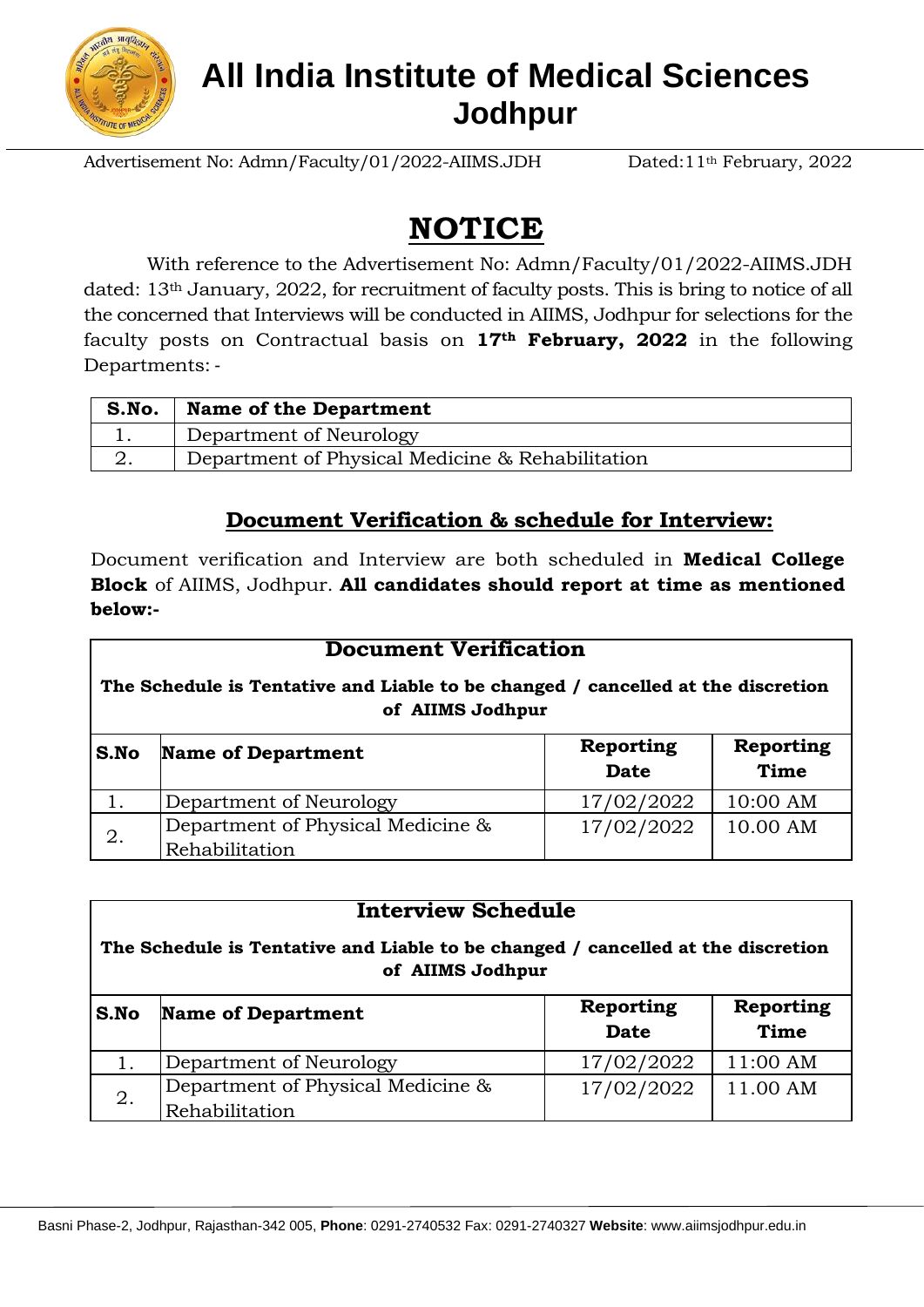

## **All India Institute of Medical Sciences Jodhpur**

Advertisement No: Admn/Faculty/01/2022-AIIMS.JDH Dated:11<sup>th</sup> February, 2022

# **NOTICE**

With reference to the Advertisement No: Admn/Faculty/01/2022-AIIMS.JDH dated: 13th January, 2022, for recruitment of faculty posts. This is bring to notice of all the concerned that Interviews will be conducted in AIIMS, Jodhpur for selections for the faculty posts on Contractual basis on **17th February, 2022** in the following Departments: -

| S.No. | <b>Name of the Department</b>                    |
|-------|--------------------------------------------------|
| . ـ   | Department of Neurology                          |
| ∠.    | Department of Physical Medicine & Rehabilitation |

### **Document Verification & schedule for Interview:**

Document verification and Interview are both scheduled in **Medical College Block** of AIIMS, Jodhpur. **All candidates should report at time as mentioned below:-**

| <b>Document Verification</b>                                                                         |                                                     |                                 |                          |  |  |
|------------------------------------------------------------------------------------------------------|-----------------------------------------------------|---------------------------------|--------------------------|--|--|
| The Schedule is Tentative and Liable to be changed / cancelled at the discretion<br>of AIIMS Jodhpur |                                                     |                                 |                          |  |  |
| S.No                                                                                                 | <b>Name of Department</b>                           | <b>Reporting</b><br><b>Date</b> | Reporting<br><b>Time</b> |  |  |
|                                                                                                      | Department of Neurology                             | 17/02/2022                      | 10:00 AM                 |  |  |
| 2.                                                                                                   | Department of Physical Medicine &<br>Rehabilitation | 17/02/2022                      | 10.00 AM                 |  |  |

| <b>Interview Schedule</b><br>The Schedule is Tentative and Liable to be changed / cancelled at the discretion<br>of AIIMS Jodhpur |                                                     |                          |                                 |  |  |
|-----------------------------------------------------------------------------------------------------------------------------------|-----------------------------------------------------|--------------------------|---------------------------------|--|--|
| S.No                                                                                                                              | <b>Name of Department</b>                           | Reporting<br><b>Date</b> | <b>Reporting</b><br><b>Time</b> |  |  |
| 1.                                                                                                                                | Department of Neurology                             | 17/02/2022               | 11:00 AM                        |  |  |
| 2.                                                                                                                                | Department of Physical Medicine &<br>Rehabilitation | 17/02/2022               | 11.00 AM                        |  |  |